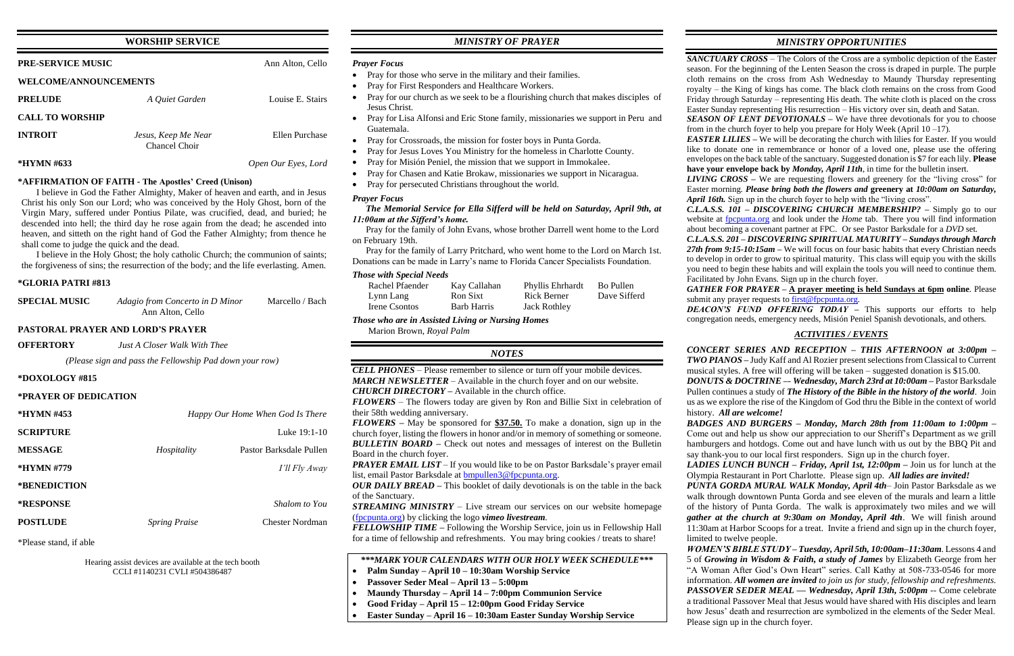## **WORSHIP SERVICE**

| <b>PRE-SERVICE MUSIC</b>     | Ann Alton, Cello                     |                     |  |
|------------------------------|--------------------------------------|---------------------|--|
| <b>WELCOME/ANNOUNCEMENTS</b> |                                      |                     |  |
| <b>PRELUDE</b>               | A Quiet Garden                       | Louise E. Stairs    |  |
| <b>CALL TO WORSHIP</b>       |                                      |                     |  |
| <b>INTROIT</b>               | Jesus, Keep Me Near<br>Chancel Choir | Ellen Purchase      |  |
| <b>*HYMN #633</b>            |                                      | Open Our Eyes, Lord |  |

# **\*AFFIRMATION OF FAITH - The Apostles' Creed (Unison)**

I believe in God the Father Almighty, Maker of heaven and earth, and in Jesus Christ his only Son our Lord; who was conceived by the Holy Ghost, born of the Virgin Mary, suffered under Pontius Pilate, was crucified, dead, and buried; he descended into hell; the third day he rose again from the dead; he ascended into heaven, and sitteth on the right hand of God the Father Almighty; from thence he shall come to judge the quick and the dead.

I believe in the Holy Ghost; the holy catholic Church; the communion of saints; the forgiveness of sins; the resurrection of the body; and the life everlasting. Amen.

#### **\*GLORIA PATRI #813**

| <b>SPECIAL MUSIC</b> | Adagio from Concerto in D Minor | Marcello / Bach |
|----------------------|---------------------------------|-----------------|
|                      | Ann Alton, Cello                |                 |

#### **PASTORAL PRAYER AND LORD'S PRAYER**

**OFFERTORY** *Just A Closer Walk With Thee*

*(Please sign and pass the Fellowship Pad down your row)*

#### **\*DOXOLOGY #815**

#### **\*PRAYER OF DEDICATION**

| *HYMN #453       |                      | Happy Our Home When God Is There |
|------------------|----------------------|----------------------------------|
| <b>SCRIPTURE</b> |                      | Luke 19:1-10                     |
| <b>MESSAGE</b>   | Hospitality          | Pastor Barksdale Pullen          |
| *HYMN #779       |                      | I'll Fly Away                    |
| *BENEDICTION     |                      |                                  |
| <b>*RESPONSE</b> |                      | Shalom to You                    |
| <b>POSTLUDE</b>  | <b>Spring Praise</b> | Chester Nordman                  |

\*Please stand, if able

Hearing assist devices are available at the tech booth CCLI #1140231 CVLI #504386487

## *MINISTRY OF PRAYER*

#### *Prayer Focus*

- Pray for those who serve in the military and their families.
- Pray for First Responders and Healthcare Workers.
- Pray for our church as we seek to be a flourishing church that makes disciples of Jesus Christ.
- Pray for Lisa Alfonsi and Eric Stone family, missionaries we support in Peru and Guatemala.
- Pray for Crossroads, the mission for foster boys in Punta Gorda.
- Pray for Jesus Loves You Ministry for the homeless in Charlotte County.
- Pray for Misión Peniel, the mission that we support in Immokalee.
- Pray for Chasen and Katie Brokaw, missionaries we support in Nicaragua.
- Pray for persecuted Christians throughout the world.

### *Prayer Focus*

#### *The Memorial Service for Ella Sifferd will be held on Saturday, April 9th, at 11:00am at the Sifferd's home.*

 Pray for the family of John Evans, whose brother Darrell went home to the Lord on February 19th.

 Pray for the family of Larry Pritchard, who went home to the Lord on March 1st. Donations can be made in Larry's name to Florida Cancer Specialists Foundation.

### *Those with Special Needs*

*EASTER LILIES* – We will be decorating the church with lilies for Easter. If you would like to donate one in remembrance or honor of a loved one, please use the offering envelopes on the back table of the sanctuary. Suggested donation is \$7 for each lily. **Please have your envelope back by** *Monday, April 11th*, in time for the bulletin insert.

*LIVING CROSS –* We are requesting flowers and greenery for the "living cross" for Easter morning. *Please bring both the flowers and* **greenery at** *10:00am on Saturday, April 16th.* Sign up in the church foyer to help with the "living cross".

| Rachel Pfaender | Kay Callahan | Phyllis Ehrhardt    | Bo Pullen    |
|-----------------|--------------|---------------------|--------------|
| Lynn Lang       | Ron Sixt     | Rick Berner         | Dave Sifferd |
| Irene Csontos   | Barb Harris  | <b>Jack Rothley</b> |              |

*Those who are in Assisted Living or Nursing Homes*

Marion Brown, *Royal Palm*

*GATHER FOR PRAYER –* **A prayer meeting is held Sundays at 6pm online**. Please submit any prayer requests t[o first@fpcpunta.org.](about:blank)

*DONUTS & DOCTRINE –*- *Wednesday, March 23rd at 10:00am –* Pastor Barksdale Pullen continues a study of *The History of the Bible in the history of the world*. Join s as we explore the rise of the Kingdom of God thru the Bible in the context of world

|                     | <b>NOTES</b>                                                                                                                                             |
|---------------------|----------------------------------------------------------------------------------------------------------------------------------------------------------|
|                     | <b>CELL PHONES</b> – Please remember to silence or turn off your mobile devices.                                                                         |
|                     | <b>MARCH NEWSLETTER</b> – Available in the church foyer and on our website.                                                                              |
|                     | <b>CHURCH DIRECTORY</b> – Available in the church office.<br><b>FLOWERS</b> – The flowers today are given by Ron and Billie Sixt in celebration of       |
| <b>God Is There</b> | their 58th wedding anniversary.                                                                                                                          |
|                     | <b>FLOWERS</b> – May be sponsored for $\frac{$37.50}{10}$ . To make a donation, sign up in the                                                           |
| uke 19:1-10         | church foyer, listing the flowers in honor and/or in memory of something or someone.                                                                     |
| sdale Pullen        | <b>BULLETIN BOARD</b> – Check out notes and messages of interest on the Bulletin<br>Board in the church foyer.                                           |
| 'll Fly Away        | <b>PRAYER EMAIL LIST</b> – If you would like to be on Pastor Barksdale's prayer email<br>list, email Pastor Barksdale at <b>bmpullen3@fpcpunta.org</b> . |
|                     | <b>OUR DAILY BREAD</b> – This booklet of daily devotionals is on the table in the back<br>of the Sanctuary.                                              |
| alom to You         | <b>STREAMING MINISTRY</b> – Live stream our services on our website homepage                                                                             |
| er Nordman          | (fpcpunta.org) by clicking the logo vimeo livestream.<br><b>FELLOWSHIP TIME</b> – Following the Worship Service, join us in Fellowship Hall              |
|                     | for a time of fellowship and refreshments. You may bring cookies / treats to share!                                                                      |
|                     | ***MARK YOUR CALENDARS WITH OUR HOLY WEEK SCHEDULE***                                                                                                    |
|                     | Palm Sunday - April 10 - 10:30am Worship Service                                                                                                         |

history. *All are welcome!* mited to twelve people.

*BADGES AND BURGERS – Monday, March 28th from 11:00am to 1:00pm –* Come out and help us show our appreciation to our Sheriff's Department as we grill amburgers and hotdogs. Come out and have lunch with us out by the BBQ Pit and ay thank-you to our local first responders. Sign up in the church foyer.

- **Passover Seder Meal – April 13 – 5:00pm**
- **Maundy Thursday – April 14 – 7:00pm Communion Service**
- **Good Friday – April 15 – 12:00pm Good Friday Service**
- **Easter Sunday – April 16 – 10:30am Easter Sunday Worship Service**

## *MINISTRY OPPORTUNITIES*

*SANCTUARY CROSS* – The Colors of the Cross are a symbolic depiction of the Easter season. For the beginning of the Lenten Season the cross is draped in purple. The purple cloth remains on the cross from Ash Wednesday to Maundy Thursday representing royalty – the King of kings has come. The black cloth remains on the cross from Good Friday through Saturday – representing His death. The white cloth is placed on the cross Easter Sunday representing His resurrection – His victory over sin, death and Satan.

*SEASON OF LENT DEVOTIONALS* – We have three devotionals for you to choose from in the church foyer to help you prepare for Holy Week (April  $10 - 17$ ).

*C.L.A.S.S. 101 – DISCOVERING CHURCH MEMBERSHIP? –* Simply go to our website at [fpcpunta.org](about:blank) and look under the *Home* tab. There you will find information about becoming a covenant partner at FPC. Or see Pastor Barksdale for a *DVD* set.

*C.L.A.S.S. 201 – DISCOVERING SPIRITUAL MATURITY – Sundays through March*  27th from 9:15-10:15am – We will focus on four basic habits that every Christian needs to develop in order to grow to spiritual maturity. This class will equip you with the skills you need to begin these habits and will explain the tools you will need to continue them. Facilitated by John Evans. Sign up in the church foyer.

*DEACON'S FUND OFFERING TODAY –* This supports our efforts to help congregation needs, emergency needs, Misión Peniel Spanish devotionals, and others.

## *ACTIVITIES / EVENTS*

*CONCERT SERIES AND RECEPTION – THIS AFTERNOON at 3:00pm – TWO PIANOS –* Judy Kaff and Al Rozier present selections from Classical to Current musical styles. A free will offering will be taken – suggested donation is \$15.00.

*LADIES LUNCH BUNCH – Friday, April 1st, 12:00pm –* Join us for lunch at the Olympia Restaurant in Port Charlotte. Please sign up. *All ladies are invited!*

*PUNTA GORDA MURAL WALK Monday, April 4th*– Join Pastor Barksdale as we walk through downtown Punta Gorda and see eleven of the murals and learn a little of the history of Punta Gorda. The walk is approximately two miles and we will *gather at the church at 9:30am on Monday, April 4th*. We will finish around 11:30am at Harbor Scoops for a treat. Invite a friend and sign up in the church foyer,

*WOMEN'S BIBLE STUDY – Tuesday, April 5th, 10:00am–11:30am*. Lessons 4 and 5 of *Growing in Wisdom & Faith, a study of James* by Elizabeth George from her A Woman After God's Own Heart" series. Call Kathy at 508-733-0546 for more information. *All women are invited to join us for study, fellowship and refreshments. PASSOVER SEDER MEAL — Wednesday, April 13th, 5:00pm* -- Come celebrate a traditional Passover Meal that Jesus would have shared with His disciples and learn how Jesus' death and resurrection are symbolized in the elements of the Seder Meal. Please sign up in the church foyer.